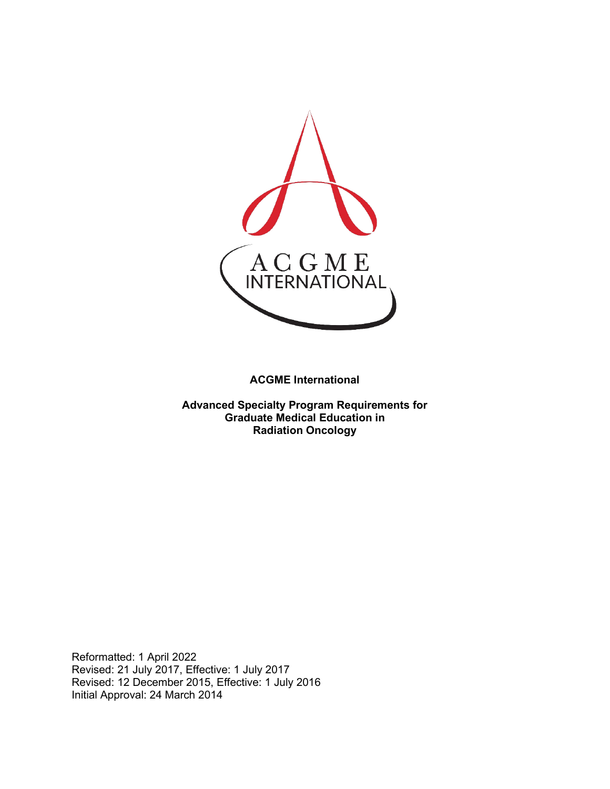

**ACGME International** 

**Advanced Specialty Program Requirements for Graduate Medical Education in Radiation Oncology**

Reformatted: 1 April 2022 Revised: 21 July 2017, Effective: 1 July 2017 Revised: 12 December 2015, Effective: 1 July 2016 Initial Approval: 24 March 2014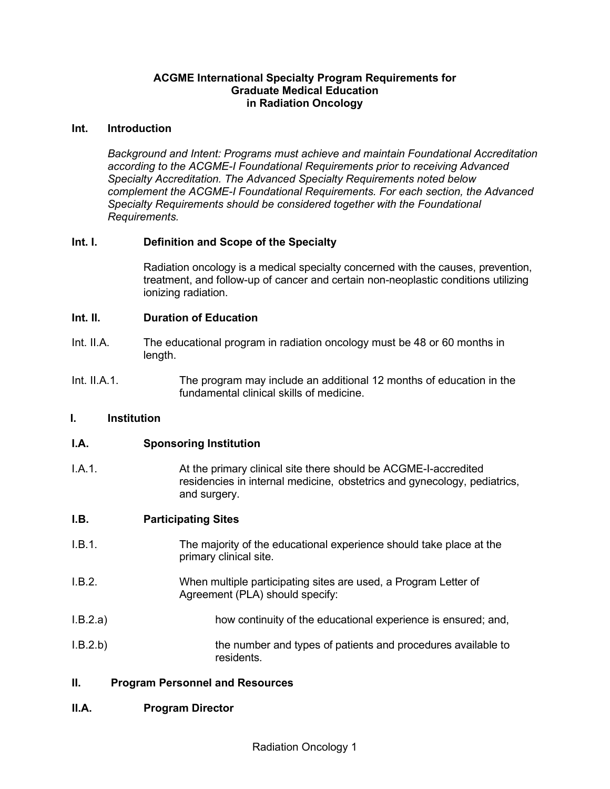### **ACGME International Specialty Program Requirements for Graduate Medical Education in Radiation Oncology**

#### **Int. Introduction**

*Background and Intent: Programs must achieve and maintain Foundational Accreditation according to the ACGME-I Foundational Requirements prior to receiving Advanced Specialty Accreditation. The Advanced Specialty Requirements noted below complement the ACGME-I Foundational Requirements. For each section, the Advanced Specialty Requirements should be considered together with the Foundational Requirements.*

# **Int. I. Definition and Scope of the Specialty**

Radiation oncology is a medical specialty concerned with the causes, prevention, treatment, and follow-up of cancer and certain non-neoplastic conditions utilizing ionizing radiation.

#### **Int. II. Duration of Education**

- Int. II.A. The educational program in radiation oncology must be 48 or 60 months in length.
- Int. II.A.1. The program may include an additional 12 months of education in the fundamental clinical skills of medicine.

#### **I. Institution**

#### **I.A. Sponsoring Institution**

I.A.1. **At the primary clinical site there should be ACGME-I-accredited** residencies in internal medicine, obstetrics and gynecology, pediatrics, and surgery.

#### **I.B. Participating Sites**

- I.B.1. The majority of the educational experience should take place at the primary clinical site.
- I.B.2. When multiple participating sites are used, a Program Letter of Agreement (PLA) should specify:
- I.B.2.a) how continuity of the educational experience is ensured; and,
- I.B.2.b) the number and types of patients and procedures available to residents.

# **II. Program Personnel and Resources**

#### **II.A. Program Director**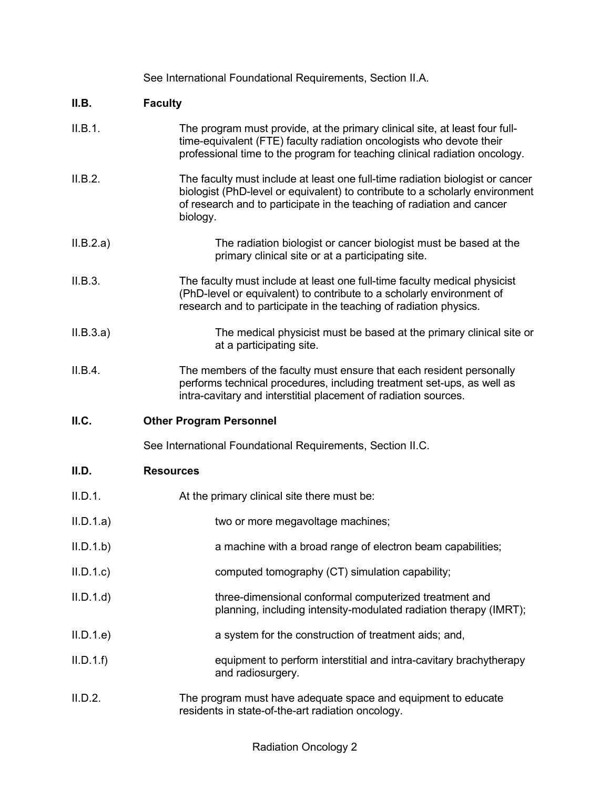|           | See International Foundational Requirements, Section II.A.                                                                                                                                                                                          |
|-----------|-----------------------------------------------------------------------------------------------------------------------------------------------------------------------------------------------------------------------------------------------------|
| II.B.     | <b>Faculty</b>                                                                                                                                                                                                                                      |
| II.B.1.   | The program must provide, at the primary clinical site, at least four full-<br>time-equivalent (FTE) faculty radiation oncologists who devote their<br>professional time to the program for teaching clinical radiation oncology.                   |
| II.B.2.   | The faculty must include at least one full-time radiation biologist or cancer<br>biologist (PhD-level or equivalent) to contribute to a scholarly environment<br>of research and to participate in the teaching of radiation and cancer<br>biology. |
| II.B.2.a) | The radiation biologist or cancer biologist must be based at the<br>primary clinical site or at a participating site.                                                                                                                               |
| II.B.3.   | The faculty must include at least one full-time faculty medical physicist<br>(PhD-level or equivalent) to contribute to a scholarly environment of<br>research and to participate in the teaching of radiation physics.                             |
| II.B.3.a) | The medical physicist must be based at the primary clinical site or<br>at a participating site.                                                                                                                                                     |
| II.B.4.   | The members of the faculty must ensure that each resident personally<br>performs technical procedures, including treatment set-ups, as well as<br>intra-cavitary and interstitial placement of radiation sources.                                   |
| II.C.     | <b>Other Program Personnel</b>                                                                                                                                                                                                                      |
|           | See International Foundational Requirements, Section II.C.                                                                                                                                                                                          |
| II.D.     | <b>Resources</b>                                                                                                                                                                                                                                    |
| II.D.1.   | At the primary clinical site there must be:                                                                                                                                                                                                         |
| II.D.1.a) | two or more megavoltage machines;                                                                                                                                                                                                                   |
| II.D.1.b  | a machine with a broad range of electron beam capabilities;                                                                                                                                                                                         |
| II.D.1.c  | computed tomography (CT) simulation capability;                                                                                                                                                                                                     |
| II.D.1.d  | three-dimensional conformal computerized treatment and<br>planning, including intensity-modulated radiation therapy (IMRT);                                                                                                                         |
| II.D.1.e  | a system for the construction of treatment aids; and,                                                                                                                                                                                               |
| II.D.1.f  | equipment to perform interstitial and intra-cavitary brachytherapy<br>and radiosurgery.                                                                                                                                                             |
| II.D.2.   | The program must have adequate space and equipment to educate<br>residents in state-of-the-art radiation oncology.                                                                                                                                  |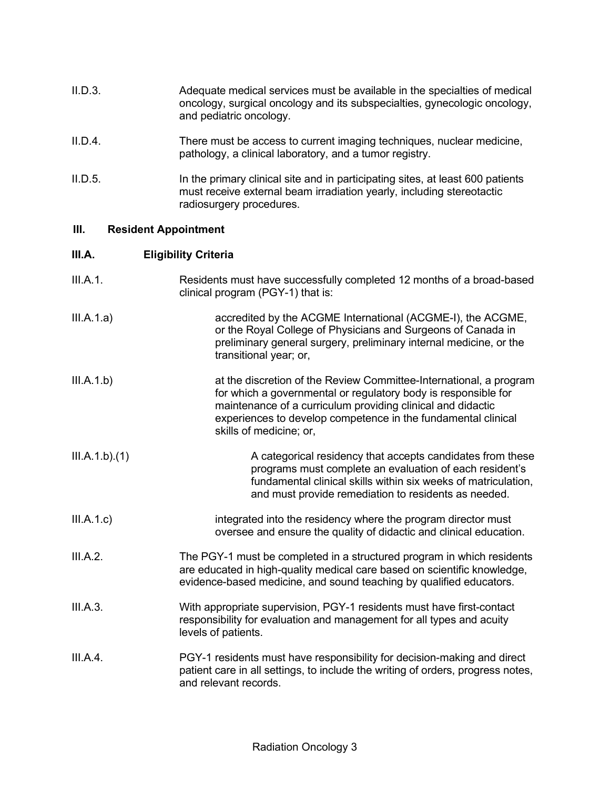| II.D.3. | Adequate medical services must be available in the specialties of medical<br>oncology, surgical oncology and its subspecialties, gynecologic oncology,<br>and pediatric oncology. |
|---------|-----------------------------------------------------------------------------------------------------------------------------------------------------------------------------------|
| ILD.4.  | There must be access to current imaging techniques, nuclear medicine,<br>pathology, a clinical laboratory, and a tumor registry.                                                  |

II.D.5. In the primary clinical site and in participating sites, at least 600 patients must receive external beam irradiation yearly, including stereotactic radiosurgery procedures.

# **III. Resident Appointment**

# **III.A. Eligibility Criteria**

| III.A.1.      | Residents must have successfully completed 12 months of a broad-based<br>clinical program (PGY-1) that is:                                                                                                                                                                                      |
|---------------|-------------------------------------------------------------------------------------------------------------------------------------------------------------------------------------------------------------------------------------------------------------------------------------------------|
| III.A.1.a)    | accredited by the ACGME International (ACGME-I), the ACGME,<br>or the Royal College of Physicians and Surgeons of Canada in<br>preliminary general surgery, preliminary internal medicine, or the<br>transitional year; or,                                                                     |
| III.A.1.b)    | at the discretion of the Review Committee-International, a program<br>for which a governmental or regulatory body is responsible for<br>maintenance of a curriculum providing clinical and didactic<br>experiences to develop competence in the fundamental clinical<br>skills of medicine; or, |
| III.A.1.b)(1) | A categorical residency that accepts candidates from these<br>programs must complete an evaluation of each resident's<br>fundamental clinical skills within six weeks of matriculation,<br>and must provide remediation to residents as needed.                                                 |
| III.A.1.c)    | integrated into the residency where the program director must<br>oversee and ensure the quality of didactic and clinical education.                                                                                                                                                             |
| III.A.2.      | The PGY-1 must be completed in a structured program in which residents<br>are educated in high-quality medical care based on scientific knowledge,<br>evidence-based medicine, and sound teaching by qualified educators.                                                                       |
| III.A.3.      | With appropriate supervision, PGY-1 residents must have first-contact<br>responsibility for evaluation and management for all types and acuity<br>levels of patients.                                                                                                                           |
| III.A.4.      | PGY-1 residents must have responsibility for decision-making and direct<br>patient care in all settings, to include the writing of orders, progress notes,<br>and relevant records.                                                                                                             |
|               |                                                                                                                                                                                                                                                                                                 |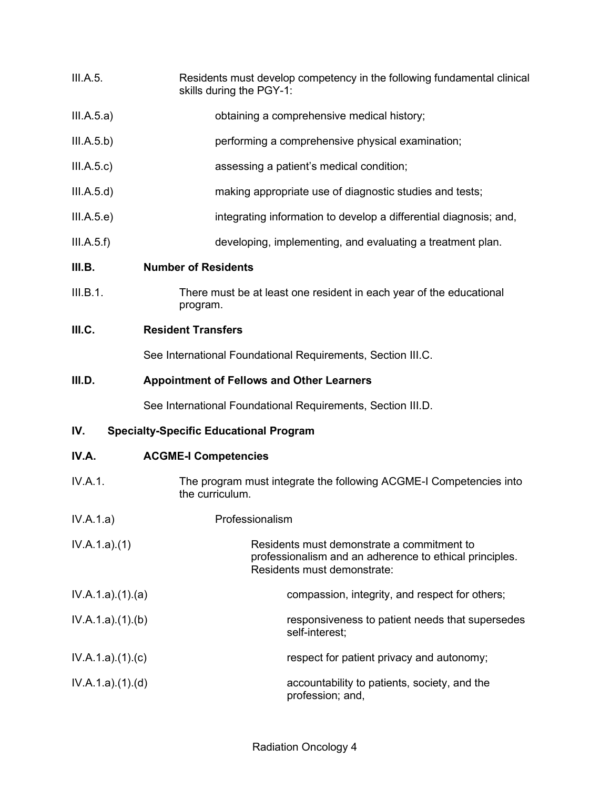- III.A.5. Residents must develop competency in the following fundamental clinical skills during the PGY-1:
- III.A.5.a) obtaining a comprehensive medical history;
- III.A.5.b) performing a comprehensive physical examination;
- III.A.5.c) assessing a patient's medical condition;
- III.A.5.d) making appropriate use of diagnostic studies and tests;
- III.A.5.e) integrating information to develop a differential diagnosis; and,
- III.A.5.f) developing, implementing, and evaluating a treatment plan.

# **III.B. Number of Residents**

III.B.1. There must be at least one resident in each year of the educational program.

# **III.C. Resident Transfers**

See International Foundational Requirements, Section III.C.

# **III.D. Appointment of Fellows and Other Learners**

See International Foundational Requirements, Section III.D.

# **IV. Specialty-Specific Educational Program**

| IV.A. | <b>ACGME-I Competencies</b> |
|-------|-----------------------------|
|-------|-----------------------------|

- IV.A.1. The program must integrate the following ACGME-I Competencies into the curriculum.
- IV.A.1.a) Professionalism
- IV.A.1.a).(1) Residents must demonstrate a commitment to professionalism and an adherence to ethical principles. Residents must demonstrate:
- IV.A.1.a).(1).(a) compassion, integrity, and respect for others; IV.A.1.a).(1).(b) responsiveness to patient needs that supersedes
- IV.A.1.a).(1).(c) respect for patient privacy and autonomy;

self-interest;

IV.A.1.a).(1).(d) accountability to patients, society, and the profession; and,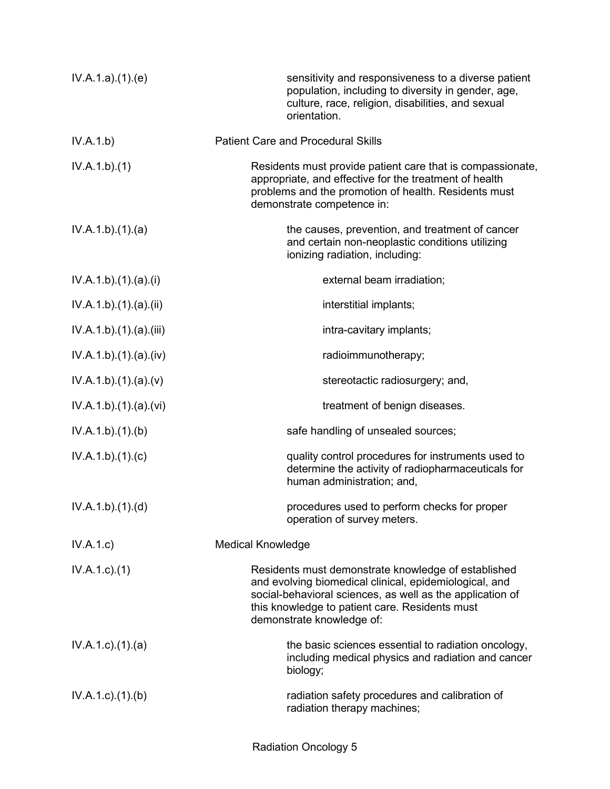| IV.A.1.a)(1)(e)           | sensitivity and responsiveness to a diverse patient<br>population, including to diversity in gender, age,<br>culture, race, religion, disabilities, and sexual<br>orientation.                                                                            |
|---------------------------|-----------------------------------------------------------------------------------------------------------------------------------------------------------------------------------------------------------------------------------------------------------|
| IV.A.1.b)                 | <b>Patient Care and Procedural Skills</b>                                                                                                                                                                                                                 |
| IV.A.1.b)(1)              | Residents must provide patient care that is compassionate,<br>appropriate, and effective for the treatment of health<br>problems and the promotion of health. Residents must<br>demonstrate competence in:                                                |
| IV.A.1.b)(1)(a)           | the causes, prevention, and treatment of cancer<br>and certain non-neoplastic conditions utilizing<br>ionizing radiation, including:                                                                                                                      |
| IV.A.1.b)(1).(a)(i)       | external beam irradiation;                                                                                                                                                                                                                                |
| IV.A.1.b)(1)(a)(ii)       | interstitial implants;                                                                                                                                                                                                                                    |
| IV.A.1.b)(1)(a)(iii)      | intra-cavitary implants;                                                                                                                                                                                                                                  |
| IV.A.1.b) (1) (a) (iv)    | radioimmunotherapy;                                                                                                                                                                                                                                       |
| IV.A.1.b)(1)(a)(v)        | stereotactic radiosurgery; and,                                                                                                                                                                                                                           |
| IV.A.1.b) (1) (a) (vi)    | treatment of benign diseases.                                                                                                                                                                                                                             |
| IV.A.1.b)(1)(b)           | safe handling of unsealed sources;                                                                                                                                                                                                                        |
| IV.A.1.b)(1)(c)           | quality control procedures for instruments used to<br>determine the activity of radiopharmaceuticals for<br>human administration; and,                                                                                                                    |
| IV.A.1.b)(1)(d)           | procedures used to perform checks for proper<br>operation of survey meters.                                                                                                                                                                               |
| IV.A.1.c)                 | <b>Medical Knowledge</b>                                                                                                                                                                                                                                  |
| $IV.A.1.c.$ (1)           | Residents must demonstrate knowledge of established<br>and evolving biomedical clinical, epidemiological, and<br>social-behavioral sciences, as well as the application of<br>this knowledge to patient care. Residents must<br>demonstrate knowledge of: |
| $IV.A.1.c$ . $(1).$ $(a)$ | the basic sciences essential to radiation oncology,<br>including medical physics and radiation and cancer<br>biology;                                                                                                                                     |
| $IV.A.1.c$ . $(1).$ (b)   | radiation safety procedures and calibration of<br>radiation therapy machines;                                                                                                                                                                             |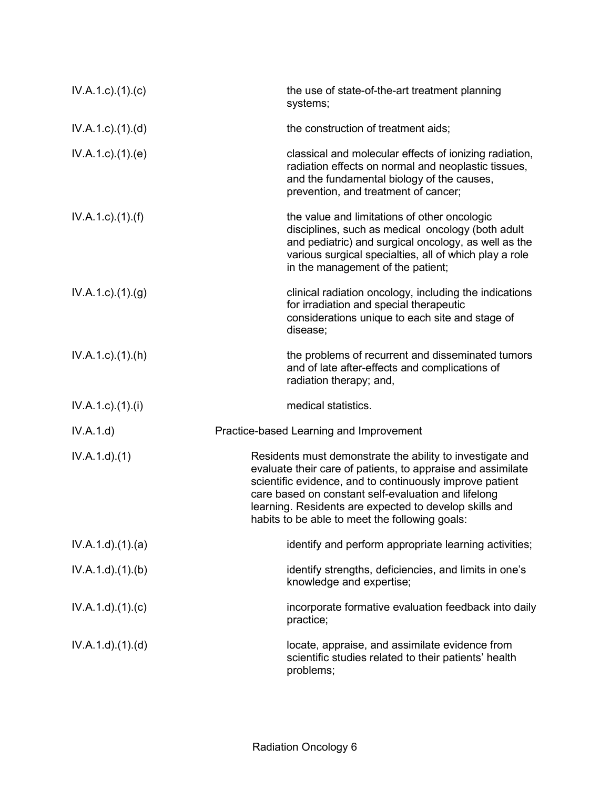| $IV.A.1.c$ ). $(1).$ (c)  | the use of state-of-the-art treatment planning<br>systems;                                                                                                                                                                                                                                                                                              |
|---------------------------|---------------------------------------------------------------------------------------------------------------------------------------------------------------------------------------------------------------------------------------------------------------------------------------------------------------------------------------------------------|
| $IV.A.1.c$ . $(1).$ $(d)$ | the construction of treatment aids;                                                                                                                                                                                                                                                                                                                     |
| IV.A.1.c.1(1).(e)         | classical and molecular effects of ionizing radiation,<br>radiation effects on normal and neoplastic tissues,<br>and the fundamental biology of the causes,<br>prevention, and treatment of cancer;                                                                                                                                                     |
| $IV.A.1.c$ ). $(1).(f)$   | the value and limitations of other oncologic<br>disciplines, such as medical oncology (both adult<br>and pediatric) and surgical oncology, as well as the<br>various surgical specialties, all of which play a role<br>in the management of the patient;                                                                                                |
| $IV.A.1.c.$ (1).(g)       | clinical radiation oncology, including the indications<br>for irradiation and special therapeutic<br>considerations unique to each site and stage of<br>disease;                                                                                                                                                                                        |
| $IV.A.1.c$ . $(1).(h)$    | the problems of recurrent and disseminated tumors<br>and of late after-effects and complications of<br>radiation therapy; and,                                                                                                                                                                                                                          |
| $IV.A.1.c$ . $(1).$       | medical statistics.                                                                                                                                                                                                                                                                                                                                     |
| IV.A.1.d)                 | Practice-based Learning and Improvement                                                                                                                                                                                                                                                                                                                 |
| IV.A.1.d)(1)              | Residents must demonstrate the ability to investigate and<br>evaluate their care of patients, to appraise and assimilate<br>scientific evidence, and to continuously improve patient<br>care based on constant self-evaluation and lifelong<br>learning. Residents are expected to develop skills and<br>habits to be able to meet the following goals: |
| IV.A.1.d.(1).(a)          | identify and perform appropriate learning activities;                                                                                                                                                                                                                                                                                                   |
| IV.A.1.d.(1)(b)           | identify strengths, deficiencies, and limits in one's<br>knowledge and expertise;                                                                                                                                                                                                                                                                       |
| IV.A.1.d)(1)(c)           | incorporate formative evaluation feedback into daily<br>practice;                                                                                                                                                                                                                                                                                       |
| IV.A.1.d.(1).(d)          | locate, appraise, and assimilate evidence from<br>scientific studies related to their patients' health<br>problems;                                                                                                                                                                                                                                     |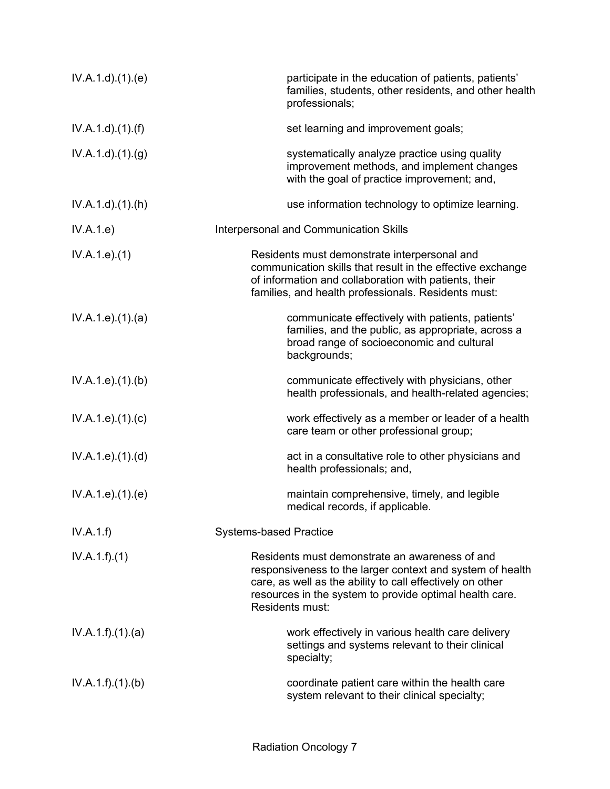| IV.A.1.d.(1)(e)        | participate in the education of patients, patients'<br>families, students, other residents, and other health<br>professionals;                                                                                                                         |
|------------------------|--------------------------------------------------------------------------------------------------------------------------------------------------------------------------------------------------------------------------------------------------------|
| $IV.A.1.d$ . $(1).(f)$ | set learning and improvement goals;                                                                                                                                                                                                                    |
| IV.A.1.d.(1)(g)        | systematically analyze practice using quality<br>improvement methods, and implement changes<br>with the goal of practice improvement; and,                                                                                                             |
| $IV.A.1.d$ . $(1).(h)$ | use information technology to optimize learning.                                                                                                                                                                                                       |
| IV.A.1.e)              | Interpersonal and Communication Skills                                                                                                                                                                                                                 |
| IV.A.1.e. (1)          | Residents must demonstrate interpersonal and<br>communication skills that result in the effective exchange<br>of information and collaboration with patients, their<br>families, and health professionals. Residents must:                             |
| IV.A.1.e. (1). (a)     | communicate effectively with patients, patients'<br>families, and the public, as appropriate, across a<br>broad range of socioeconomic and cultural<br>backgrounds;                                                                                    |
| IV.A.1.e. (1)(b)       | communicate effectively with physicians, other<br>health professionals, and health-related agencies;                                                                                                                                                   |
| IV.A.1.e. (1). (c)     | work effectively as a member or leader of a health<br>care team or other professional group;                                                                                                                                                           |
| IV.A.1.e. (1). (d)     | act in a consultative role to other physicians and<br>health professionals; and,                                                                                                                                                                       |
| IV.A.1.e. (1)(e)       | maintain comprehensive, timely, and legible<br>medical records, if applicable.                                                                                                                                                                         |
| IV.A.1.f)              | <b>Systems-based Practice</b>                                                                                                                                                                                                                          |
| IV.A.1.f)(1)           | Residents must demonstrate an awareness of and<br>responsiveness to the larger context and system of health<br>care, as well as the ability to call effectively on other<br>resources in the system to provide optimal health care.<br>Residents must: |
| IV.A.1.f)(1)(a)        | work effectively in various health care delivery<br>settings and systems relevant to their clinical<br>specialty;                                                                                                                                      |
| IV.A.1.f)(1)(b)        | coordinate patient care within the health care<br>system relevant to their clinical specialty;                                                                                                                                                         |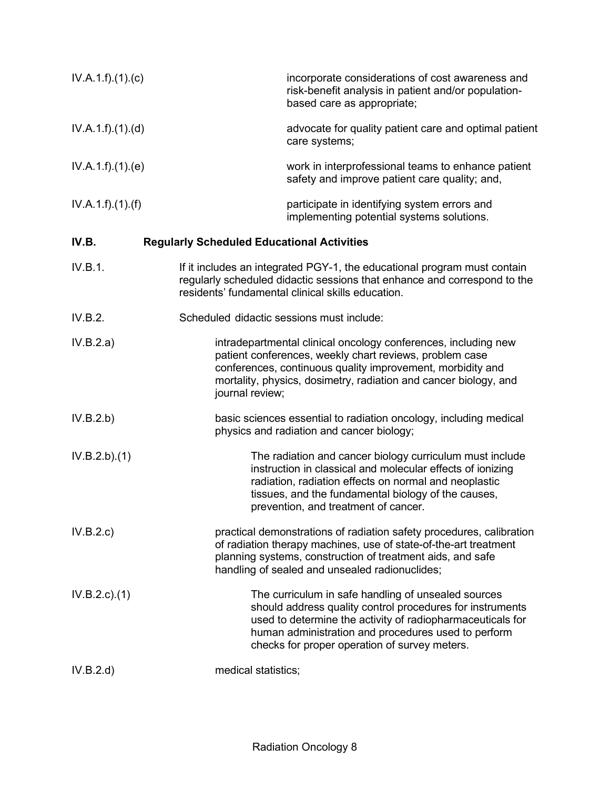| IV.A.1.f)(1)(c) | incorporate considerations of cost awareness and<br>risk-benefit analysis in patient and/or population-<br>based care as appropriate;                                                                                                                                                  |
|-----------------|----------------------------------------------------------------------------------------------------------------------------------------------------------------------------------------------------------------------------------------------------------------------------------------|
| IV.A.1.f)(1)(d) | advocate for quality patient care and optimal patient<br>care systems;                                                                                                                                                                                                                 |
| IV.A.1.f)(1)(e) | work in interprofessional teams to enhance patient<br>safety and improve patient care quality; and,                                                                                                                                                                                    |
| IV.A.1.f)(1)(f) | participate in identifying system errors and<br>implementing potential systems solutions.                                                                                                                                                                                              |
| IV.B.           | <b>Regularly Scheduled Educational Activities</b>                                                                                                                                                                                                                                      |
| IV.B.1.         | If it includes an integrated PGY-1, the educational program must contain<br>regularly scheduled didactic sessions that enhance and correspond to the<br>residents' fundamental clinical skills education.                                                                              |
| IV.B.2.         | Scheduled didactic sessions must include:                                                                                                                                                                                                                                              |
| IV.B.2.a)       | intradepartmental clinical oncology conferences, including new<br>patient conferences, weekly chart reviews, problem case<br>conferences, continuous quality improvement, morbidity and<br>mortality, physics, dosimetry, radiation and cancer biology, and<br>journal review;         |
| IV.B.2.b)       | basic sciences essential to radiation oncology, including medical<br>physics and radiation and cancer biology;                                                                                                                                                                         |
| IV.B.2.b)(1)    | The radiation and cancer biology curriculum must include<br>instruction in classical and molecular effects of ionizing<br>radiation, radiation effects on normal and neoplastic<br>tissues, and the fundamental biology of the causes,<br>prevention, and treatment of cancer.         |
| IV.B.2.c)       | practical demonstrations of radiation safety procedures, calibration<br>of radiation therapy machines, use of state-of-the-art treatment<br>planning systems, construction of treatment aids, and safe<br>handling of sealed and unsealed radionuclides;                               |
| $IV.B.2.c.$ (1) | The curriculum in safe handling of unsealed sources<br>should address quality control procedures for instruments<br>used to determine the activity of radiopharmaceuticals for<br>human administration and procedures used to perform<br>checks for proper operation of survey meters. |
| IV.B.2.d)       | medical statistics;                                                                                                                                                                                                                                                                    |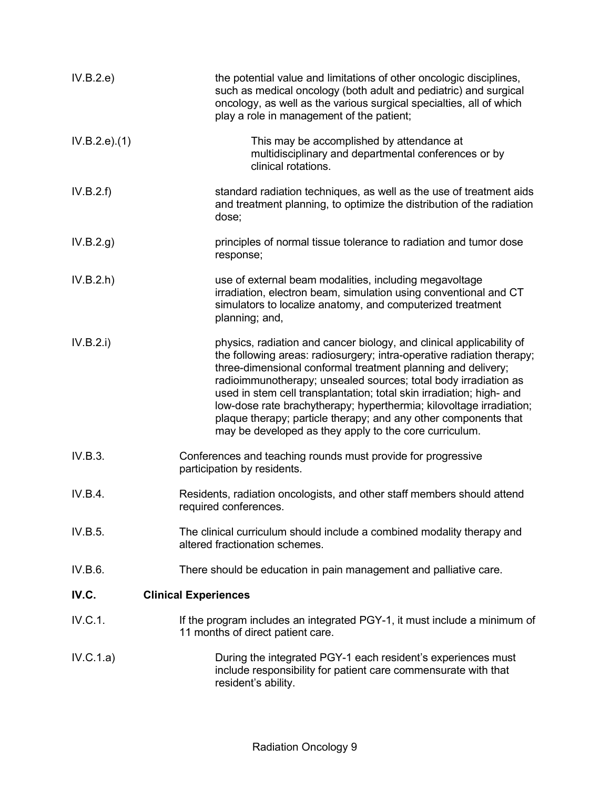| IV.B.2.e)     | the potential value and limitations of other oncologic disciplines,<br>such as medical oncology (both adult and pediatric) and surgical<br>oncology, as well as the various surgical specialties, all of which<br>play a role in management of the patient;                                                                                                                                                                                                                                                                                                  |
|---------------|--------------------------------------------------------------------------------------------------------------------------------------------------------------------------------------------------------------------------------------------------------------------------------------------------------------------------------------------------------------------------------------------------------------------------------------------------------------------------------------------------------------------------------------------------------------|
| IV.B.2.e).(1) | This may be accomplished by attendance at<br>multidisciplinary and departmental conferences or by<br>clinical rotations.                                                                                                                                                                                                                                                                                                                                                                                                                                     |
| IV.B.2.f)     | standard radiation techniques, as well as the use of treatment aids<br>and treatment planning, to optimize the distribution of the radiation<br>dose;                                                                                                                                                                                                                                                                                                                                                                                                        |
| IV.B.2.g)     | principles of normal tissue tolerance to radiation and tumor dose<br>response;                                                                                                                                                                                                                                                                                                                                                                                                                                                                               |
| IV.B.2.h      | use of external beam modalities, including megavoltage<br>irradiation, electron beam, simulation using conventional and CT<br>simulators to localize anatomy, and computerized treatment<br>planning; and,                                                                                                                                                                                                                                                                                                                                                   |
| IV.B.2.i)     | physics, radiation and cancer biology, and clinical applicability of<br>the following areas: radiosurgery; intra-operative radiation therapy;<br>three-dimensional conformal treatment planning and delivery;<br>radioimmunotherapy; unsealed sources; total body irradiation as<br>used in stem cell transplantation; total skin irradiation; high- and<br>low-dose rate brachytherapy; hyperthermia; kilovoltage irradiation;<br>plaque therapy; particle therapy; and any other components that<br>may be developed as they apply to the core curriculum. |
| IV.B.3.       | Conferences and teaching rounds must provide for progressive<br>participation by residents.                                                                                                                                                                                                                                                                                                                                                                                                                                                                  |
| IV.B.4.       | Residents, radiation oncologists, and other staff members should attend<br>required conferences.                                                                                                                                                                                                                                                                                                                                                                                                                                                             |
| IV.B.5.       | The clinical curriculum should include a combined modality therapy and<br>altered fractionation schemes.                                                                                                                                                                                                                                                                                                                                                                                                                                                     |
| IV.B.6.       | There should be education in pain management and palliative care.                                                                                                                                                                                                                                                                                                                                                                                                                                                                                            |
| IV.C.         | <b>Clinical Experiences</b>                                                                                                                                                                                                                                                                                                                                                                                                                                                                                                                                  |
| IV.C.1.       | If the program includes an integrated PGY-1, it must include a minimum of<br>11 months of direct patient care.                                                                                                                                                                                                                                                                                                                                                                                                                                               |
| IV.C.1.a)     | During the integrated PGY-1 each resident's experiences must<br>include responsibility for patient care commensurate with that<br>resident's ability.                                                                                                                                                                                                                                                                                                                                                                                                        |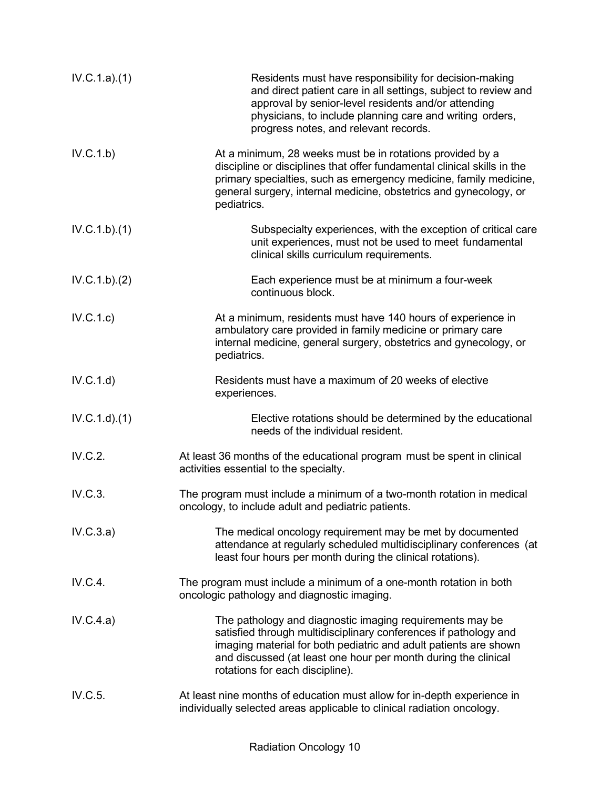| IV.C.1.a)(1) | Residents must have responsibility for decision-making<br>and direct patient care in all settings, subject to review and<br>approval by senior-level residents and/or attending<br>physicians, to include planning care and writing orders,<br>progress notes, and relevant records.                  |
|--------------|-------------------------------------------------------------------------------------------------------------------------------------------------------------------------------------------------------------------------------------------------------------------------------------------------------|
| IV.C.1.b)    | At a minimum, 28 weeks must be in rotations provided by a<br>discipline or disciplines that offer fundamental clinical skills in the<br>primary specialties, such as emergency medicine, family medicine,<br>general surgery, internal medicine, obstetrics and gynecology, or<br>pediatrics.         |
| IV.C.1.b)(1) | Subspecialty experiences, with the exception of critical care<br>unit experiences, must not be used to meet fundamental<br>clinical skills curriculum requirements.                                                                                                                                   |
| IV.C.1.b)(2) | Each experience must be at minimum a four-week<br>continuous block.                                                                                                                                                                                                                                   |
| IV.C.1.c)    | At a minimum, residents must have 140 hours of experience in<br>ambulatory care provided in family medicine or primary care<br>internal medicine, general surgery, obstetrics and gynecology, or<br>pediatrics.                                                                                       |
| IV.C.1.d)    | Residents must have a maximum of 20 weeks of elective<br>experiences.                                                                                                                                                                                                                                 |
| IV.C.1.d)(1) | Elective rotations should be determined by the educational<br>needs of the individual resident.                                                                                                                                                                                                       |
| IV.C.2.      | At least 36 months of the educational program must be spent in clinical<br>activities essential to the specialty.                                                                                                                                                                                     |
| IV.C.3.      | The program must include a minimum of a two-month rotation in medical<br>oncology, to include adult and pediatric patients.                                                                                                                                                                           |
| IV.C.3.a)    | The medical oncology requirement may be met by documented<br>attendance at regularly scheduled multidisciplinary conferences (at<br>least four hours per month during the clinical rotations).                                                                                                        |
| IV.C.4.      | The program must include a minimum of a one-month rotation in both<br>oncologic pathology and diagnostic imaging.                                                                                                                                                                                     |
| IV.C.4.a)    | The pathology and diagnostic imaging requirements may be<br>satisfied through multidisciplinary conferences if pathology and<br>imaging material for both pediatric and adult patients are shown<br>and discussed (at least one hour per month during the clinical<br>rotations for each discipline). |
| IV.C.5.      | At least nine months of education must allow for in-depth experience in<br>individually selected areas applicable to clinical radiation oncology.                                                                                                                                                     |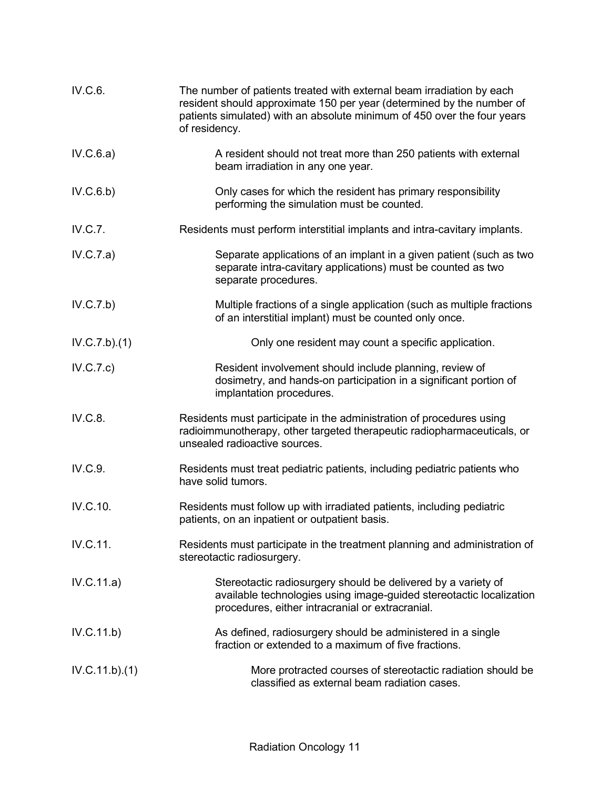| IV.C.6.        | The number of patients treated with external beam irradiation by each<br>resident should approximate 150 per year (determined by the number of<br>patients simulated) with an absolute minimum of 450 over the four years<br>of residency. |
|----------------|--------------------------------------------------------------------------------------------------------------------------------------------------------------------------------------------------------------------------------------------|
| IV.C.6.a)      | A resident should not treat more than 250 patients with external<br>beam irradiation in any one year.                                                                                                                                      |
| IV.C.6.b)      | Only cases for which the resident has primary responsibility<br>performing the simulation must be counted.                                                                                                                                 |
| IV.C.7.        | Residents must perform interstitial implants and intra-cavitary implants.                                                                                                                                                                  |
| IV.C.7.a)      | Separate applications of an implant in a given patient (such as two<br>separate intra-cavitary applications) must be counted as two<br>separate procedures.                                                                                |
| IV.C.7.b)      | Multiple fractions of a single application (such as multiple fractions<br>of an interstitial implant) must be counted only once.                                                                                                           |
| IV.C.7.b)(1)   | Only one resident may count a specific application.                                                                                                                                                                                        |
| IV.C.7.c)      | Resident involvement should include planning, review of<br>dosimetry, and hands-on participation in a significant portion of<br>implantation procedures.                                                                                   |
| IV.C.8.        | Residents must participate in the administration of procedures using<br>radioimmunotherapy, other targeted therapeutic radiopharmaceuticals, or<br>unsealed radioactive sources.                                                           |
| IV.C.9.        | Residents must treat pediatric patients, including pediatric patients who<br>have solid tumors.                                                                                                                                            |
| IV.C.10.       | Residents must follow up with irradiated patients, including pediatric<br>patients, on an inpatient or outpatient basis.                                                                                                                   |
| IV.C.11.       | Residents must participate in the treatment planning and administration of<br>stereotactic radiosurgery.                                                                                                                                   |
| IV.C.11.a)     | Stereotactic radiosurgery should be delivered by a variety of<br>available technologies using image-guided stereotactic localization<br>procedures, either intracranial or extracranial.                                                   |
| IV.C.11.b)     | As defined, radiosurgery should be administered in a single<br>fraction or extended to a maximum of five fractions.                                                                                                                        |
| IV.C.11.b).(1) | More protracted courses of stereotactic radiation should be<br>classified as external beam radiation cases.                                                                                                                                |